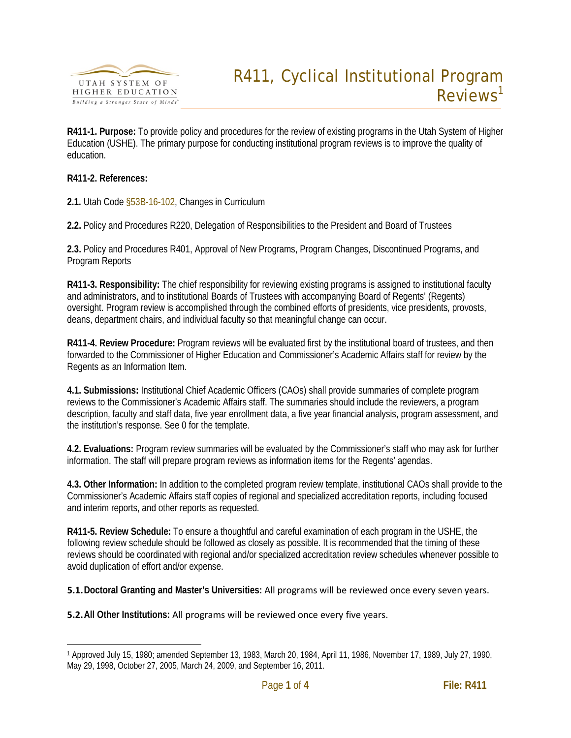

**R411-1. Purpose:** To provide policy and procedures for the review of existing programs in the Utah System of Higher Education (USHE). The primary purpose for conducting institutional program reviews is to improve the quality of education.

## **R411-2. References:**

**2.1.** Utah Code [§53B-16-102,](http://www.le.state.ut.us/~code/TITLE53B/htm/53B15003.htm) Changes in Curriculum

**2.2.** Policy and Procedures [R220,](http://www.utahsbr.edu/policy/r220.htm) Delegation of Responsibilities to the President and Board of Trustees

**2.3.** Policy and Procedures [R401,](http://www.utahsbr.edu/policy/r401.htm) Approval of New Programs, Program Changes, Discontinued Programs, and Program Reports

**R411-3. Responsibility:** The chief responsibility for reviewing existing programs is assigned to institutional faculty and administrators, and to institutional Boards of Trustees with accompanying Board of Regents' (Regents) oversight. Program review is accomplished through the combined efforts of presidents, vice presidents, provosts, deans, department chairs, and individual faculty so that meaningful change can occur.

**R411-4. Review Procedure:** Program reviews will be evaluated first by the institutional board of trustees, and then forwarded to the Commissioner of Higher Education and Commissioner's Academic Affairs staff for review by the Regents as an Information Item.

**4.1. Submissions:** Institutional Chief Academic Officers (CAOs) shall provide summaries of complete program reviews to the Commissioner's Academic Affairs staff. The summaries should include the reviewers, a program description, faculty and staff data, five year enrollment data, a five year financial analysis, program assessment, and the institution's response. See [0](#page-1-0) for the template.

**4.2. Evaluations:** Program review summaries will be evaluated by the Commissioner's staff who may ask for further information. The staff will prepare program reviews as information items for the Regents' agendas.

**4.3. Other Information:** In addition to the completed program review template, institutional CAOs shall provide to the Commissioner's Academic Affairs staff copies of regional and specialized accreditation reports, including focused and interim reports, and other reports as requested.

**R411-5. Review Schedule:** To ensure a thoughtful and careful examination of each program in the USHE, the following review schedule should be followed as closely as possible. It is recommended that the timing of these reviews should be coordinated with regional and/or specialized accreditation review schedules whenever possible to avoid duplication of effort and/or expense.

**5.1.Doctoral Granting and Master's Universities:** All programs will be reviewed once every seven years.

**5.2.All Other Institutions:** All programs will be reviewed once every five years.

<span id="page-0-0"></span> <sup>1</sup> Approved July 15, 1980; amended September 13, 1983, March 20, 1984, April 11, 1986, November 17, 1989, July 27, 1990, May 29, 1998, October 27, 2005, March 24, 2009, and September 16, 2011.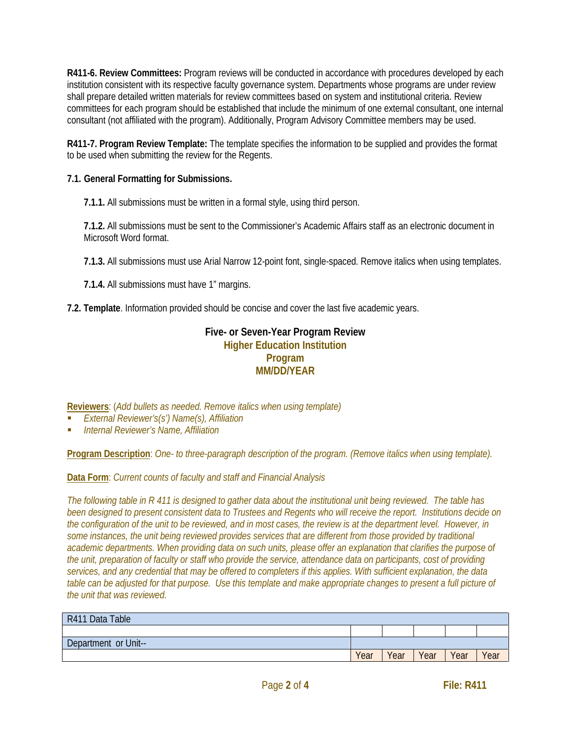**R411-6. Review Committees:** Program reviews will be conducted in accordance with procedures developed by each institution consistent with its respective faculty governance system. Departments whose programs are under review shall prepare detailed written materials for review committees based on system and institutional criteria. Review committees for each program should be established that include the minimum of one external consultant, one internal consultant (not affiliated with the program). Additionally, Program Advisory Committee members may be used.

**R411-7. Program Review Template:** The template specifies the information to be supplied and provides the format to be used when submitting the review for the Regents.

## **7.1. General Formatting for Submissions.**

**7.1.1.** All submissions must be written in a formal style, using third person.

**7.1.2.** All submissions must be sent to the Commissioner's Academic Affairs staff as an electronic document in Microsoft Word format.

**7.1.3.** All submissions must use Arial Narrow 12-point font, single-spaced. Remove italics when using templates.

**7.1.4.** All submissions must have 1" margins.

<span id="page-1-0"></span>**7.2. Template**. Information provided should be concise and cover the last five academic years.

## **Five- or Seven-Year Program Review Higher Education Institution Program MM/DD/YEAR**

**Reviewers**: (*Add bullets as needed. Remove italics when using template)*

- *External Reviewer's(s') Name(s), Affiliation*
- *Internal Reviewer's Name, Affiliation*

**Program Description**: *One- to three-paragraph description of the program. (Remove italics when using template).*

**Data Form**: *Current counts of faculty and staff and Financial Analysis*

*The following table in R 411 is designed to gather data about the institutional unit being reviewed. The table has been designed to present consistent data to Trustees and Regents who will receive the report. Institutions decide on the configuration of the unit to be reviewed, and in most cases, the review is at the department level. However, in some instances, the unit being reviewed provides services that are different from those provided by traditional academic departments. When providing data on such units, please offer an explanation that clarifies the purpose of the unit, preparation of faculty or staff who provide the service, attendance data on participants, cost of providing services, and any credential that may be offered to completers if this applies. With sufficient explanation, the data table can be adjusted for that purpose. Use this template and make appropriate changes to present a full picture of the unit that was reviewed.*

| R411 Data Table     |      |      |      |      |      |
|---------------------|------|------|------|------|------|
|                     |      |      |      |      |      |
| Department or Unit- |      |      |      |      |      |
|                     | Year | Year | Year | Year | Year |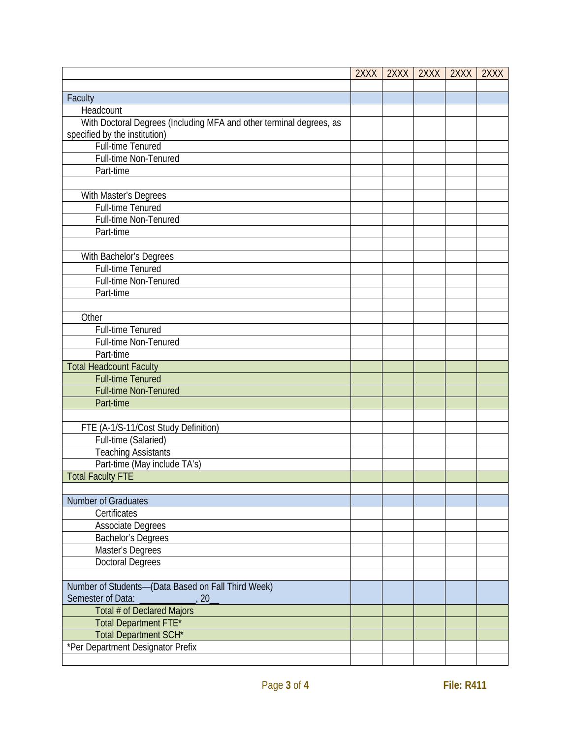|                                                                                                      | 2XXX | 2XXX | 2XXX | 2XXX | 2XXX |
|------------------------------------------------------------------------------------------------------|------|------|------|------|------|
|                                                                                                      |      |      |      |      |      |
| Faculty                                                                                              |      |      |      |      |      |
| Headcount                                                                                            |      |      |      |      |      |
| With Doctoral Degrees (Including MFA and other terminal degrees, as<br>specified by the institution) |      |      |      |      |      |
| <b>Full-time Tenured</b>                                                                             |      |      |      |      |      |
| Full-time Non-Tenured                                                                                |      |      |      |      |      |
| Part-time                                                                                            |      |      |      |      |      |
|                                                                                                      |      |      |      |      |      |
|                                                                                                      |      |      |      |      |      |
| With Master's Degrees<br>Full-time Tenured                                                           |      |      |      |      |      |
|                                                                                                      |      |      |      |      |      |
| Full-time Non-Tenured                                                                                |      |      |      |      |      |
| Part-time                                                                                            |      |      |      |      |      |
|                                                                                                      |      |      |      |      |      |
| With Bachelor's Degrees                                                                              |      |      |      |      |      |
| Full-time Tenured                                                                                    |      |      |      |      |      |
| Full-time Non-Tenured                                                                                |      |      |      |      |      |
| Part-time                                                                                            |      |      |      |      |      |
|                                                                                                      |      |      |      |      |      |
| Other                                                                                                |      |      |      |      |      |
| Full-time Tenured                                                                                    |      |      |      |      |      |
| Full-time Non-Tenured                                                                                |      |      |      |      |      |
| Part-time                                                                                            |      |      |      |      |      |
| <b>Total Headcount Faculty</b>                                                                       |      |      |      |      |      |
| <b>Full-time Tenured</b>                                                                             |      |      |      |      |      |
| Full-time Non-Tenured                                                                                |      |      |      |      |      |
| Part-time                                                                                            |      |      |      |      |      |
|                                                                                                      |      |      |      |      |      |
| FTE (A-1/S-11/Cost Study Definition)                                                                 |      |      |      |      |      |
| Full-time (Salaried)                                                                                 |      |      |      |      |      |
| <b>Teaching Assistants</b>                                                                           |      |      |      |      |      |
| Part-time (May include TA's)                                                                         |      |      |      |      |      |
| <b>Total Faculty FTE</b>                                                                             |      |      |      |      |      |
|                                                                                                      |      |      |      |      |      |
| Number of Graduates                                                                                  |      |      |      |      |      |
| Certificates                                                                                         |      |      |      |      |      |
| <b>Associate Degrees</b>                                                                             |      |      |      |      |      |
| <b>Bachelor's Degrees</b>                                                                            |      |      |      |      |      |
| Master's Degrees                                                                                     |      |      |      |      |      |
| <b>Doctoral Degrees</b>                                                                              |      |      |      |      |      |
|                                                                                                      |      |      |      |      |      |
| Number of Students-(Data Based on Fall Third Week)<br>Semester of Data:<br>20                        |      |      |      |      |      |
| Total # of Declared Majors                                                                           |      |      |      |      |      |
| Total Department FTE*                                                                                |      |      |      |      |      |
| Total Department SCH*                                                                                |      |      |      |      |      |
| *Per Department Designator Prefix                                                                    |      |      |      |      |      |
|                                                                                                      |      |      |      |      |      |